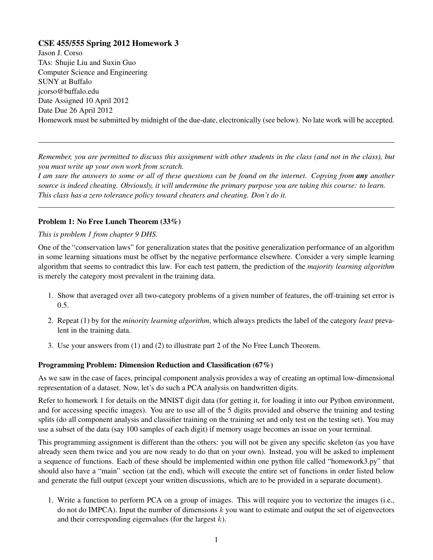## CSE 455/555 Spring 2012 Homework 3

Jason J. Corso TAs: Shujie Liu and Suxin Guo Computer Science and Engineering SUNY at Buffalo jcorso@buffalo.edu Date Assigned 10 April 2012 Date Due 26 April 2012 Homework must be submitted by midnight of the due-date, electronically (see below). No late work will be accepted.

*Remember, you are permitted to discuss this assignment with other students in the class (and not in the class), but you must write up your own work from scratch.*

*I am sure the answers to some or all of these questions can be found on the internet. Copying from any another source is indeed cheating. Obviously, it will undermine the primary purpose you are taking this course: to learn. This class has a zero tolerance policy toward cheaters and cheating. Don't do it.*

## Problem 1: No Free Lunch Theorem (33%)

*This is problem 1 from chapter 9 DHS.*

One of the "conservation laws" for generalization states that the positive generalization performance of an algorithm in some learning situations must be offset by the negative performance elsewhere. Consider a very simple learning algorithm that seems to contradict this law. For each test pattern, the prediction of the *majority learning algorithm* is merely the category most prevalent in the training data.

- 1. Show that averaged over all two-category problems of a given number of features, the off-training set error is 0.5.
- 2. Repeat (1) by for the *minority learning algorithm*, which always predicts the label of the category *least* prevalent in the training data.
- 3. Use your answers from (1) and (2) to illustrate part 2 of the No Free Lunch Theorem.

## Programming Problem: Dimension Reduction and Classification (67%)

As we saw in the case of faces, principal component analysis provides a way of creating an optimal low-dimensional representation of a dataset. Now, let's do such a PCA analysis on handwritten digits.

Refer to homework 1 for details on the MNIST digit data (for getting it, for loading it into our Python environment, and for accessing specific images). You are to use all of the 5 digits provided and observe the training and testing splits (do all component analysis and classifier training on the training set and only test on the testing set). You may use a subset of the data (say 100 samples of each digit) if memory usage becomes an issue on your terminal.

This programming assignment is different than the others: you will not be given any specific skeleton (as you have already seen them twice and you are now ready to do that on your own). Instead, you will be asked to implement a sequence of functions. Each of these should be implemented within one python file called "homework3.py" that should also have a "main" section (at the end), which will execute the entire set of functions in order listed below and generate the full output (except your written discussions, which are to be provided in a separate document).

1. Write a function to perform PCA on a group of images. This will require you to vectorize the images (i.e., do not do IMPCA). Input the number of dimensions  $k$  you want to estimate and output the set of eigenvectors and their corresponding eigenvalues (for the largest  $k$ ).